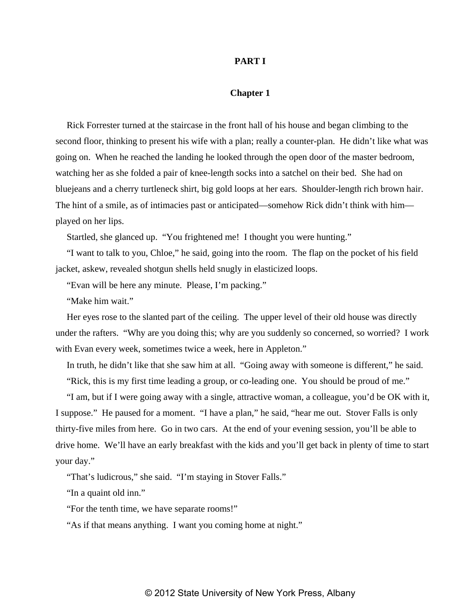## **PART I**

# **Chapter 1**

Rick Forrester turned at the staircase in the front hall of his house and began climbing to the second floor, thinking to present his wife with a plan; really a counter-plan. He didn't like what was going on. When he reached the landing he looked through the open door of the master bedroom, watching her as she folded a pair of knee-length socks into a satchel on their bed. She had on bluejeans and a cherry turtleneck shirt, big gold loops at her ears. Shoulder-length rich brown hair. The hint of a smile, as of intimacies past or anticipated—somehow Rick didn't think with him played on her lips.

Startled, she glanced up. "You frightened me! I thought you were hunting."

"I want to talk to you, Chloe," he said, going into the room. The flap on the pocket of his field jacket, askew, revealed shotgun shells held snugly in elasticized loops.

"Evan will be here any minute. Please, I'm packing."

"Make him wait."

Her eyes rose to the slanted part of the ceiling. The upper level of their old house was directly under the rafters. "Why are you doing this; why are you suddenly so concerned, so worried? I work with Evan every week, sometimes twice a week, here in Appleton."

In truth, he didn't like that she saw him at all. "Going away with someone is different," he said. "Rick, this is my first time leading a group, or co-leading one. You should be proud of me."

"I am, but if I were going away with a single, attractive woman, a colleague, you'd be OK with it, I suppose." He paused for a moment. "I have a plan," he said, "hear me out. Stover Falls is only thirty-five miles from here. Go in two cars. At the end of your evening session, you'll be able to drive home. We'll have an early breakfast with the kids and you'll get back in plenty of time to start your day."

"That's ludicrous," she said. "I'm staying in Stover Falls."

"In a quaint old inn."

"For the tenth time, we have separate rooms!"

"As if that means anything. I want you coming home at night."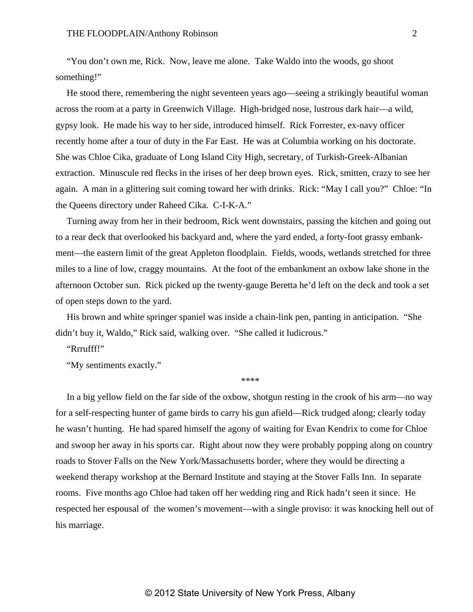"You don't own me, Rick. Now, leave me alone. Take Waldo into the woods, go shoot something!"

He stood there, remembering the night seventeen years ago—seeing a strikingly beautiful woman across the room at a party in Greenwich Village. High-bridged nose, lustrous dark hair—a wild, gypsy look. He made his way to her side, introduced himself. Rick Forrester, ex-navy officer recently home after a tour of duty in the Far East. He was at Columbia working on his doctorate. She was Chloe Cika, graduate of Long Island City High, secretary, of Turkish-Greek-Albanian extraction. Minuscule red flecks in the irises of her deep brown eyes. Rick, smitten, crazy to see her again. A man in a glittering suit coming toward her with drinks. Rick: "May I call you?" Chloe: "In the Queens directory under Raheed Cika. C-I-K-A."

Turning away from her in their bedroom, Rick went downstairs, passing the kitchen and going out to a rear deck that overlooked his backyard and, where the yard ended, a forty-foot grassy embankment—the eastern limit of the great Appleton floodplain. Fields, woods, wetlands stretched for three miles to a line of low, craggy mountains. At the foot of the embankment an oxbow lake shone in the afternoon October sun. Rick picked up the twenty-gauge Beretta he'd left on the deck and took a set of open steps down to the yard.

His brown and white springer spaniel was inside a chain-link pen, panting in anticipation. "She didn't buy it, Waldo," Rick said, walking over. "She called it ludicrous."

"Rrrufff!"

"My sentiments exactly."

\*\*\*\*

In a big yellow field on the far side of the oxbow, shotgun resting in the crook of his arm—no way for a self-respecting hunter of game birds to carry his gun afield—Rick trudged along; clearly today he wasn't hunting. He had spared himself the agony of waiting for Evan Kendrix to come for Chloe and swoop her away in his sports car. Right about now they were probably popping along on country roads to Stover Falls on the New York/Massachusetts border, where they would be directing a weekend therapy workshop at the Bernard Institute and staying at the Stover Falls Inn. In separate rooms. Five months ago Chloe had taken off her wedding ring and Rick hadn't seen it since. He respected her espousal of the women's movement—with a single proviso: it was knocking hell out of his marriage.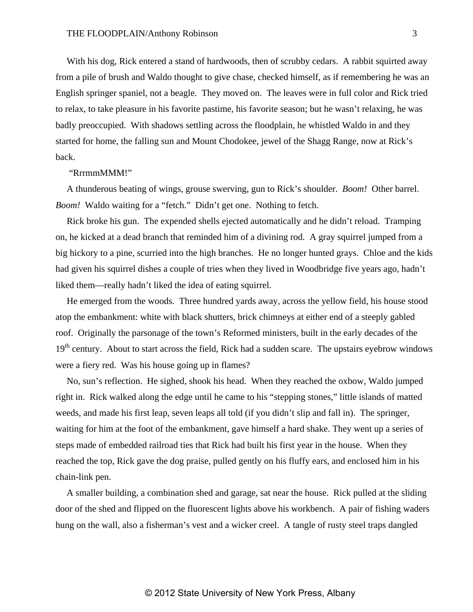## THE FLOODPLAIN/Anthony Robinson 3

With his dog, Rick entered a stand of hardwoods, then of scrubby cedars. A rabbit squirted away from a pile of brush and Waldo thought to give chase, checked himself, as if remembering he was an English springer spaniel, not a beagle. They moved on. The leaves were in full color and Rick tried to relax, to take pleasure in his favorite pastime, his favorite season; but he wasn't relaxing, he was badly preoccupied. With shadows settling across the floodplain, he whistled Waldo in and they started for home, the falling sun and Mount Chodokee, jewel of the Shagg Range, now at Rick's back.

#### "RrrmmMMM!"

A thunderous beating of wings, grouse swerving, gun to Rick's shoulder. *Boom!* Other barrel. *Boom!* Waldo waiting for a "fetch." Didn't get one. Nothing to fetch.

Rick broke his gun. The expended shells ejected automatically and he didn't reload. Tramping on, he kicked at a dead branch that reminded him of a divining rod. A gray squirrel jumped from a big hickory to a pine, scurried into the high branches. He no longer hunted grays. Chloe and the kids had given his squirrel dishes a couple of tries when they lived in Woodbridge five years ago, hadn't liked them—really hadn't liked the idea of eating squirrel.

He emerged from the woods. Three hundred yards away, across the yellow field, his house stood atop the embankment: white with black shutters, brick chimneys at either end of a steeply gabled roof. Originally the parsonage of the town's Reformed ministers, built in the early decades of the  $19<sup>th</sup>$  century. About to start across the field, Rick had a sudden scare. The upstairs eyebrow windows were a fiery red. Was his house going up in flames?

No, sun's reflection. He sighed, shook his head. When they reached the oxbow, Waldo jumped right in. Rick walked along the edge until he came to his "stepping stones," little islands of matted weeds, and made his first leap, seven leaps all told (if you didn't slip and fall in). The springer, waiting for him at the foot of the embankment, gave himself a hard shake. They went up a series of steps made of embedded railroad ties that Rick had built his first year in the house. When they reached the top, Rick gave the dog praise, pulled gently on his fluffy ears, and enclosed him in his chain-link pen.

A smaller building, a combination shed and garage, sat near the house. Rick pulled at the sliding door of the shed and flipped on the fluorescent lights above his workbench. A pair of fishing waders hung on the wall, also a fisherman's vest and a wicker creel. A tangle of rusty steel traps dangled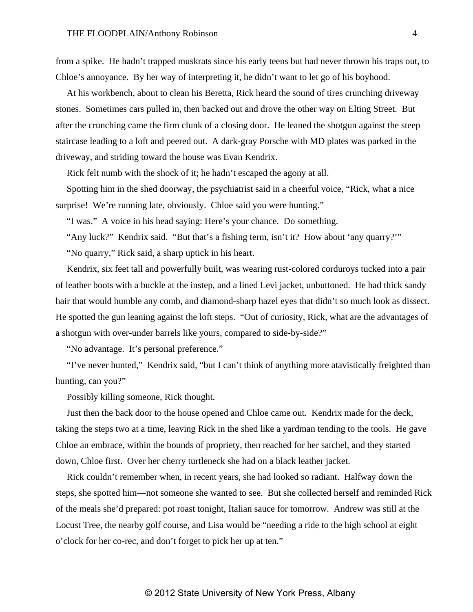from a spike. He hadn't trapped muskrats since his early teens but had never thrown his traps out, to Chloe's annoyance. By her way of interpreting it, he didn't want to let go of his boyhood.

At his workbench, about to clean his Beretta, Rick heard the sound of tires crunching driveway stones. Sometimes cars pulled in, then backed out and drove the other way on Elting Street. But after the crunching came the firm clunk of a closing door. He leaned the shotgun against the steep staircase leading to a loft and peered out. A dark-gray Porsche with MD plates was parked in the driveway, and striding toward the house was Evan Kendrix.

Rick felt numb with the shock of it; he hadn't escaped the agony at all.

Spotting him in the shed doorway, the psychiatrist said in a cheerful voice, "Rick, what a nice surprise! We're running late, obviously. Chloe said you were hunting."

"I was." A voice in his head saying: Here's your chance. Do something.

"Any luck?" Kendrix said. "But that's a fishing term, isn't it? How about 'any quarry?'" "No quarry," Rick said, a sharp uptick in his heart.

Kendrix, six feet tall and powerfully built, was wearing rust-colored corduroys tucked into a pair of leather boots with a buckle at the instep, and a lined Levi jacket, unbuttoned. He had thick sandy hair that would humble any comb, and diamond-sharp hazel eyes that didn't so much look as dissect. He spotted the gun leaning against the loft steps. "Out of curiosity, Rick, what are the advantages of a shotgun with over-under barrels like yours, compared to side-by-side?"

"No advantage. It's personal preference."

"I've never hunted," Kendrix said, "but I can't think of anything more atavistically freighted than hunting, can you?"

Possibly killing someone, Rick thought.

Just then the back door to the house opened and Chloe came out. Kendrix made for the deck, taking the steps two at a time, leaving Rick in the shed like a yardman tending to the tools. He gave Chloe an embrace, within the bounds of propriety, then reached for her satchel, and they started down, Chloe first. Over her cherry turtleneck she had on a black leather jacket.

Rick couldn't remember when, in recent years, she had looked so radiant. Halfway down the steps, she spotted him—not someone she wanted to see. But she collected herself and reminded Rick of the meals she'd prepared: pot roast tonight, Italian sauce for tomorrow. Andrew was still at the Locust Tree, the nearby golf course, and Lisa would be "needing a ride to the high school at eight o'clock for her co-rec, and don't forget to pick her up at ten."